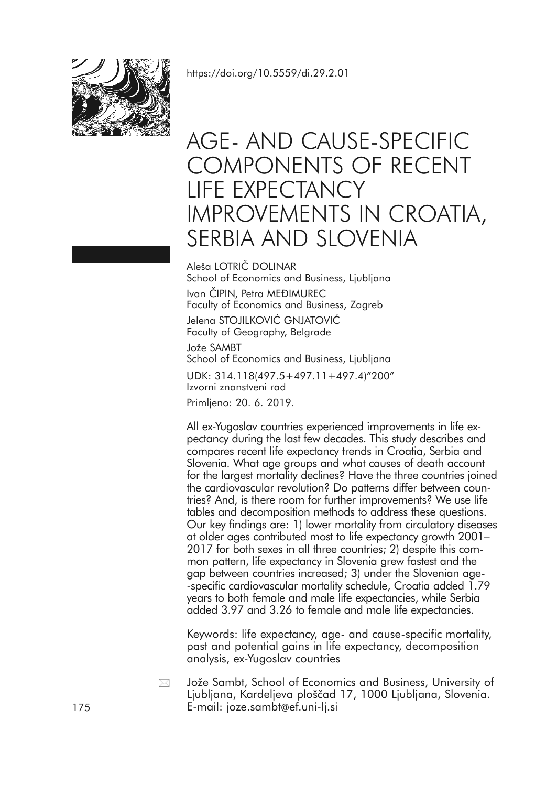<https://doi.org/10.5559/di.29.2.01>



# AGE- AND CAUSE-SPECIFIC COMPONENTS OF RECENT LIFE EXPECTANCY IMPROVEMENTS IN CROATIA, SERBIA AND SLOVENIA

Aleša LOTRIČ DOLINAR School of Economics and Business, Ljubljana Ivan ČIPIN, Petra MEĐIMUREC Faculty of Economics and Business, Zagreb

Jelena STOJILKOVIĆ GNJATOVIĆ Faculty of Geography, Belgrade

Jože SAMBT School of Economics and Business, Ljubljana

UDK: 314.118(497.5+497.11+497.4)"200" Izvorni znanstveni rad

Primljeno: 20. 6. 2019.

All ex-Yugoslav countries experienced improvements in life expectancy during the last few decades. This study describes and compares recent life expectancy trends in Croatia, Serbia and Slovenia. What age groups and what causes of death account for the largest mortality declines? Have the three countries joined the cardiovascular revolution? Do patterns differ between countries? And, is there room for further improvements? We use life tables and decomposition methods to address these questions. Our key findings are: 1) lower mortality from circulatory diseases at older ages contributed most to life expectancy growth 2001– 2017 for both sexes in all three countries; 2) despite this common pattern, life expectancy in Slovenia grew fastest and the gap between countries increased; 3) under the Slovenian age- -specific cardiovascular mortality schedule, Croatia added 1.79 years to both female and male life expectancies, while Serbia added 3.97 and 3.26 to female and male life expectancies.

Keywords: life expectancy, age- and cause-specific mortality, past and potential gains in life expectancy, decomposition analysis, ex-Yugoslav countries

Jože Sambt, School of Economics and Business, University of Ljubljana, Kardeljeva ploščad 17, 1000 Ljubljana, Slovenia. 175 E-mail: joze.sambt@ef.uni-lj.si  $\boxtimes$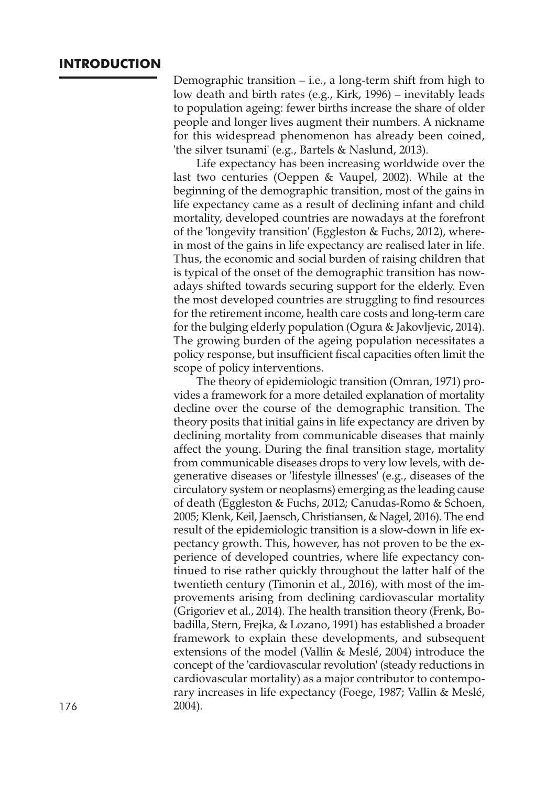### **INTRODUCTION**

Demographic transition – i.e., a long-term shift from high to low death and birth rates (e.g., Kirk, 1996) – inevitably leads to population ageing: fewer births increase the share of older people and longer lives augment their numbers. A nickname for this widespread phenomenon has already been coined, 'the silver tsunami' (e.g., Bartels & Naslund, 2013).

Life expectancy has been increasing worldwide over the last two centuries (Oeppen & Vaupel, 2002). While at the beginning of the demographic transition, most of the gains in life expectancy came as a result of declining infant and child mortality, developed countries are nowadays at the forefront of the 'longevity transition' (Eggleston & Fuchs, 2012), wherein most of the gains in life expectancy are realised later in life. Thus, the economic and social burden of raising children that is typical of the onset of the demographic transition has nowadays shifted towards securing support for the elderly. Even the most developed countries are struggling to find resources for the retirement income, health care costs and long-term care for the bulging elderly population (Ogura & Jakovljevic, 2014). The growing burden of the ageing population necessitates a policy response, but insufficient fiscal capacities often limit the scope of policy interventions.

The theory of epidemiologic transition (Omran, 1971) provides a framework for a more detailed explanation of mortality decline over the course of the demographic transition. The theory posits that initial gains in life expectancy are driven by declining mortality from communicable diseases that mainly affect the young. During the final transition stage, mortality from communicable diseases drops to very low levels, with degenerative diseases or 'lifestyle illnesses' (e.g., diseases of the circulatory system or neoplasms) emerging as the leading cause of death (Eggleston & Fuchs, 2012; Canudas-Romo & Schoen, 2005; Klenk, Keil, Jaensch, Christiansen, & Nagel, 2016). The end result of the epidemiologic transition is a slow-down in life expectancy growth. This, however, has not proven to be the experience of developed countries, where life expectancy continued to rise rather quickly throughout the latter half of the twentieth century (Timonin et al., 2016), with most of the improvements arising from declining cardiovascular mortality (Grigoriev et al., 2014). The health transition theory (Frenk, Bobadilla, Stern, Frejka, & Lozano, 1991) has established a broader framework to explain these developments, and subsequent extensions of the model (Vallin & Meslé, 2004) introduce the concept of the 'cardiovascular revolution' (steady reductions in cardiovascular mortality) as a major contributor to contemporary increases in life expectancy (Foege, 1987; Vallin & Meslé, 176 2004).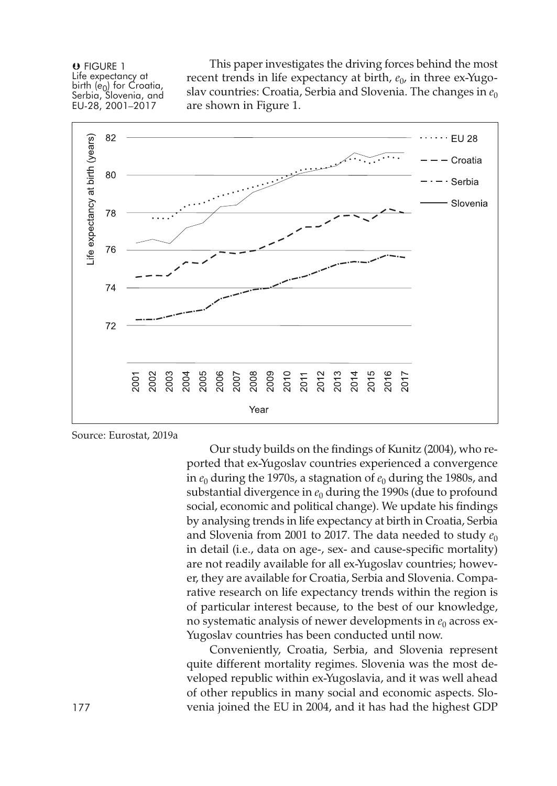O FIGURE 1 Life expectancy at birth (e<sub>0</sub>) for Croatia,<br>Serbia, Slovenia, and EU-28, 2001–2017

This paper investigates the driving forces behind the most recent trends in life expectancy at birth,  $e_0$ , in three ex-Yugoslav countries: Croatia, Serbia and Slovenia. The changes in  $e_0$ are shown in Figure 1.



Source: Eurostat, 2019a

Our study builds on the findings of Kunitz (2004), who reported that ex-Yugoslav countries experienced a convergence in  $e_0$  during the 1970s, a stagnation of  $e_0$  during the 1980s, and substantial divergence in  $e_0$  during the 1990s (due to profound social, economic and political change). We update his findings by analysing trends in life expectancy at birth in Croatia, Serbia and Slovenia from 2001 to 2017. The data needed to study  $e_0$ in detail (i.e., data on age-, sex- and cause-specific mortality) are not readily available for all ex-Yugoslav countries; however, they are available for Croatia, Serbia and Slovenia. Comparative research on life expectancy trends within the region is of particular interest because, to the best of our knowledge, no systematic analysis of newer developments in  $e_0$  across ex-Yugoslav countries has been conducted until now.

Conveniently, Croatia, Serbia, and Slovenia represent quite different mortality regimes. Slovenia was the most developed republic within ex-Yugoslavia, and it was well ahead of other republics in many social and economic aspects. Slo-177 venia joined the EU in 2004, and it has had the highest GDP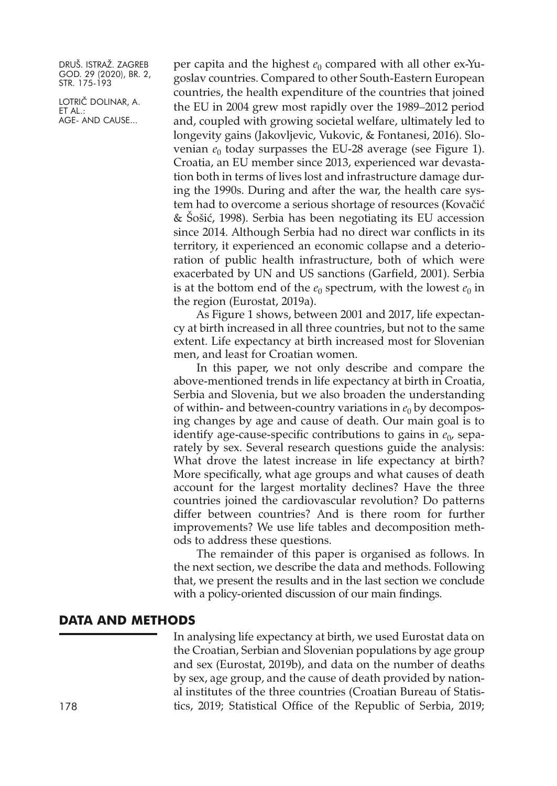LOTRIČ DOLINAR, A. ET AL.: AGE- AND CAUSE...

per capita and the highest  $e_0$  compared with all other ex-Yugoslav countries. Compared to other South-Eastern European countries, the health expenditure of the countries that joined the EU in 2004 grew most rapidly over the 1989–2012 period and, coupled with growing societal welfare, ultimately led to longevity gains (Jakovljevic, Vukovic, & Fontanesi, 2016). Slovenian  $e_0$  today surpasses the EU-28 average (see Figure 1). Croatia, an EU member since 2013, experienced war devastation both in terms of lives lost and infrastructure damage during the 1990s. During and after the war, the health care system had to overcome a serious shortage of resources (Kovačić & Šošić, 1998). Serbia has been negotiating its EU accession since 2014. Although Serbia had no direct war conflicts in its territory, it experienced an economic collapse and a deterioration of public health infrastructure, both of which were exacerbated by UN and US sanctions (Garfield, 2001). Serbia is at the bottom end of the  $e_0$  spectrum, with the lowest  $e_0$  in the region (Eurostat, 2019a).

As Figure 1 shows, between 2001 and 2017, life expectancy at birth increased in all three countries, but not to the same extent. Life expectancy at birth increased most for Slovenian men, and least for Croatian women.

In this paper, we not only describe and compare the above-mentioned trends in life expectancy at birth in Croatia, Serbia and Slovenia, but we also broaden the understanding of within- and between-country variations in  $e_0$  by decomposing changes by age and cause of death. Our main goal is to identify age-cause-specific contributions to gains in  $e_0$ , separately by sex. Several research questions guide the analysis: What drove the latest increase in life expectancy at birth? More specifically, what age groups and what causes of death account for the largest mortality declines? Have the three countries joined the cardiovascular revolution? Do patterns differ between countries? And is there room for further improvements? We use life tables and decomposition methods to address these questions.

The remainder of this paper is organised as follows. In the next section, we describe the data and methods. Following that, we present the results and in the last section we conclude with a policy-oriented discussion of our main findings.

### **DATA AND METHODS**

In analysing life expectancy at birth, we used Eurostat data on the Croatian, Serbian and Slovenian populations by age group and sex (Eurostat, 2019b), and data on the number of deaths by sex, age group, and the cause of death provided by national institutes of the three countries (Croatian Bureau of Statis-178 tics, 2019; Statistical Office of the Republic of Serbia, 2019;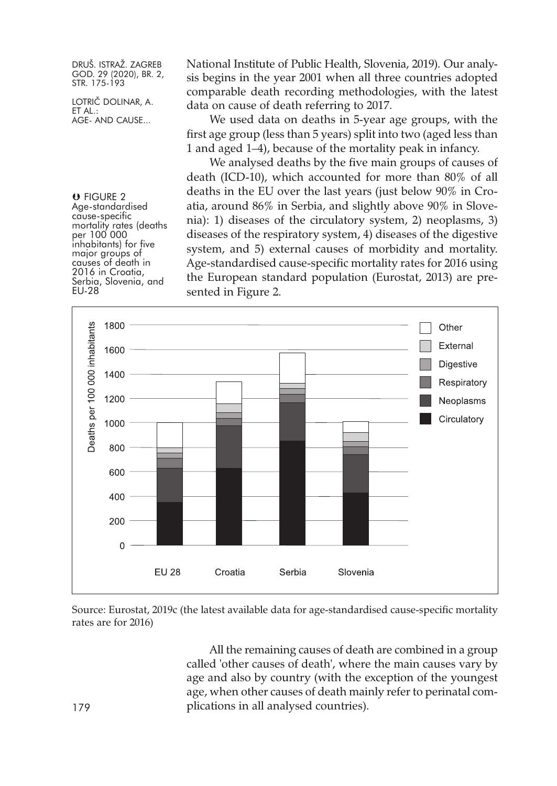LOTRIČ DOLINAR, A. ET AL.: AGE- AND CAUSE...

National Institute of Public Health, Slovenia, 2019). Our analysis begins in the year 2001 when all three countries adopted comparable death recording methodologies, with the latest data on cause of death referring to 2017.

We used data on deaths in 5-year age groups, with the first age group (less than 5 years) split into two (aged less than 1 and aged 1–4), because of the mortality peak in infancy.

We analysed deaths by the five main groups of causes of death (ICD-10), which accounted for more than 80% of all deaths in the EU over the last years (just below 90% in Croatia, around 86% in Serbia, and slightly above 90% in Slovenia): 1) diseases of the circulatory system, 2) neoplasms, 3) diseases of the respiratory system, 4) diseases of the digestive system, and 5) external causes of morbidity and mortality. Age-standardised cause-specific mortality rates for 2016 using the European standard population (Eurostat, 2013) are presented in Figure 2.



Source: Eurostat, 2019c (the latest available data for age-standardised cause-specific mortality rates are for 2016)

All the remaining causes of death are combined in a group called 'other causes of death', where the main causes vary by age and also by country (with the exception of the youngest age, when other causes of death mainly refer to perinatal com-179 plications in all analysed countries).

**U** FIGURE 2<br>Age-standardised cause-specific<br>mortality rates (deaths<br>per 100 000<br>inhabitants) for five major groups of<br>causes of death in<br>2016 in Croatia,<br>Serbia, Slovenia, and EU-28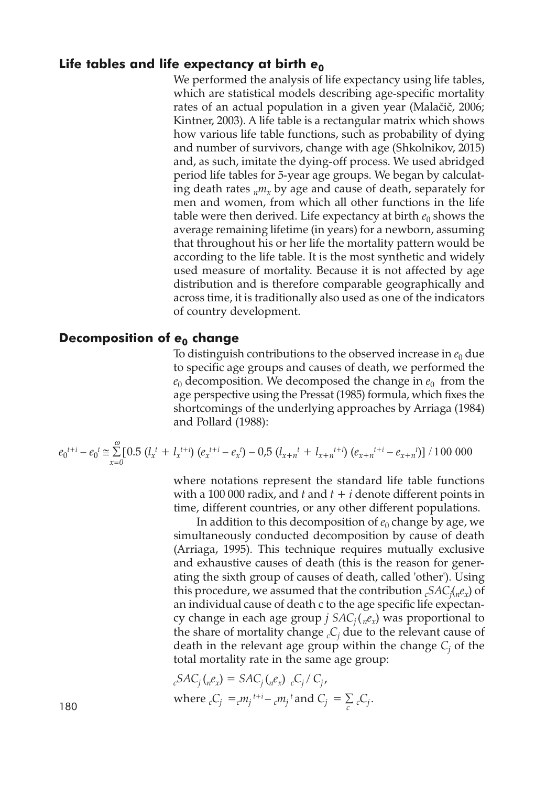### Life **tables** and life expectancy at birth  $e_0$

We performed the analysis of life expectancy using life tables, which are statistical models describing age-specific mortality rates of an actual population in a given year (Malačič, 2006; Kintner, 2003). A life table is a rectangular matrix which shows how various life table functions, such as probability of dying and number of survivors, change with age (Shkolnikov, 2015) and, as such, imitate the dying-off process. We used abridged period life tables for 5-year age groups. We began by calculating death rates  $_{n}m_{x}$  by age and cause of death, separately for men and women, from which all other functions in the life table were then derived. Life expectancy at birth  $e_0$  shows the average remaining lifetime (in years) for a newborn, assuming that throughout his or her life the mortality pattern would be according to the life table. It is the most synthetic and widely used measure of mortality. Because it is not affected by age distribution and is therefore comparable geographically and across time, it is traditionally also used as one of the indicators of country development.

### **Decomposition of** *e***<sup>0</sup> change**

To distinguish contributions to the observed increase in  $e_0$  due to specific age groups and causes of death, we performed the  $e_0$  decomposition. We decomposed the change in  $e_0$  from the age perspective using the Pressat (1985) formula, which fixes the shortcomings of the underlying approaches by Arriaga (1984) and Pollard (1988):

$$
e_0^{t+i} - e_0^t \approx \sum_{x=0}^{\omega} [0.5 (l_x^{t} + l_x^{t+i}) (e_x^{t+i} - e_x^t) - 0.5 (l_{x+n}^{t} + l_{x+n}^{t+i}) (e_{x+n}^{t+i} - e_{x+n}^{t})] / 100 000
$$

where notations represent the standard life table functions with a 100 000 radix, and  $t$  and  $t + i$  denote different points in time, different countries, or any other different populations.

In addition to this decomposition of  $e_0$  change by age, we simultaneously conducted decomposition by cause of death (Arriaga, 1995). This technique requires mutually exclusive and exhaustive causes of death (this is the reason for generating the sixth group of causes of death, called 'other'). Using this procedure, we assumed that the contribution *cSACj* (*nex*) of an individual cause of death c to the age specific life expectancy change in each age group *j*  $SAC_i({}_n e_x)$  was proportional to the share of mortality change  $C_i$  due to the relevant cause of death in the relevant age group within the change *Cj* of the total mortality rate in the same age group:

$$
{}_{c}SAC_{j}(_{n}e_{x}) = SAC_{j}(_{n}e_{x}) {}_{c}C_{j}/C_{j},
$$
\nwhere  ${}_{c}C_{j} = {}_{c}m_{j}^{t+i} - {}_{c}m_{j}^{t}$  and  $C_{j} = \sum_{c} {}_{c}C_{j}$ .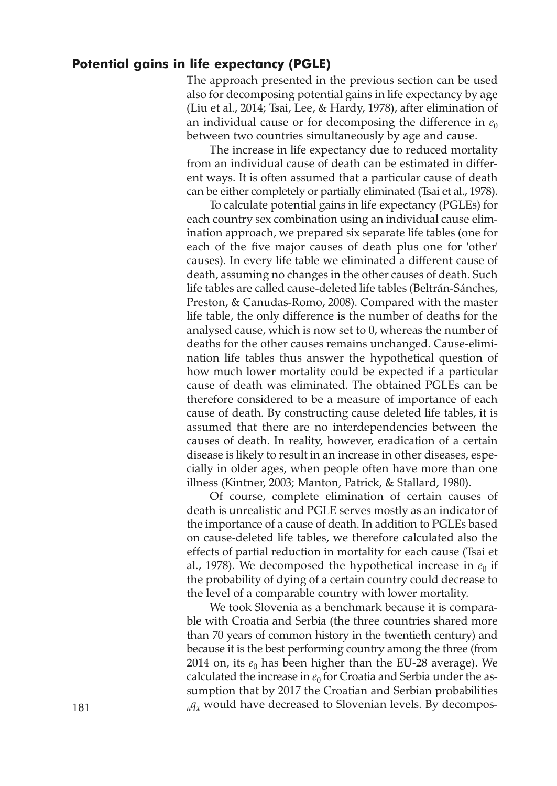### **Potential gains in life expectancy (PGLE)**

The approach presented in the previous section can be used also for decomposing potential gains in life expectancy by age (Liu et al., 2014; Tsai, Lee, & Hardy, 1978), after elimination of an individual cause or for decomposing the difference in  $e_0$ between two countries simultaneously by age and cause.

The increase in life expectancy due to reduced mortality from an individual cause of death can be estimated in different ways. It is often assumed that a particular cause of death can be either completely or partially eliminated (Tsai et al., 1978).

To calculate potential gains in life expectancy (PGLEs) for each country sex combination using an individual cause elimination approach, we prepared six separate life tables (one for each of the five major causes of death plus one for 'other' causes). In every life table we eliminated a different cause of death, assuming no changes in the other causes of death. Such life tables are called cause-deleted life tables (Beltrán-Sánches, Preston, & Canudas-Romo, 2008). Compared with the master life table, the only difference is the number of deaths for the analysed cause, which is now set to 0, whereas the number of deaths for the other causes remains unchanged. Cause-elimination life tables thus answer the hypothetical question of how much lower mortality could be expected if a particular cause of death was eliminated. The obtained PGLEs can be therefore considered to be a measure of importance of each cause of death. By constructing cause deleted life tables, it is assumed that there are no interdependencies between the causes of death. In reality, however, eradication of a certain disease is likely to result in an increase in other diseases, especially in older ages, when people often have more than one illness (Kintner, 2003; Manton, Patrick, & Stallard, 1980).

Of course, complete elimination of certain causes of death is unrealistic and PGLE serves mostly as an indicator of the importance of a cause of death. In addition to PGLEs based on cause-deleted life tables, we therefore calculated also the effects of partial reduction in mortality for each cause (Tsai et al., 1978). We decomposed the hypothetical increase in  $e_0$  if the probability of dying of a certain country could decrease to the level of a comparable country with lower mortality.

We took Slovenia as a benchmark because it is comparable with Croatia and Serbia (the three countries shared more than 70 years of common history in the twentieth century) and because it is the best performing country among the three (from 2014 on, its  $e_0$  has been higher than the EU-28 average). We calculated the increase in  $e_0$  for Croatia and Serbia under the assumption that by 2017 the Croatian and Serbian probabilities 181  $nq_x$  would have decreased to Slovenian levels. By decompos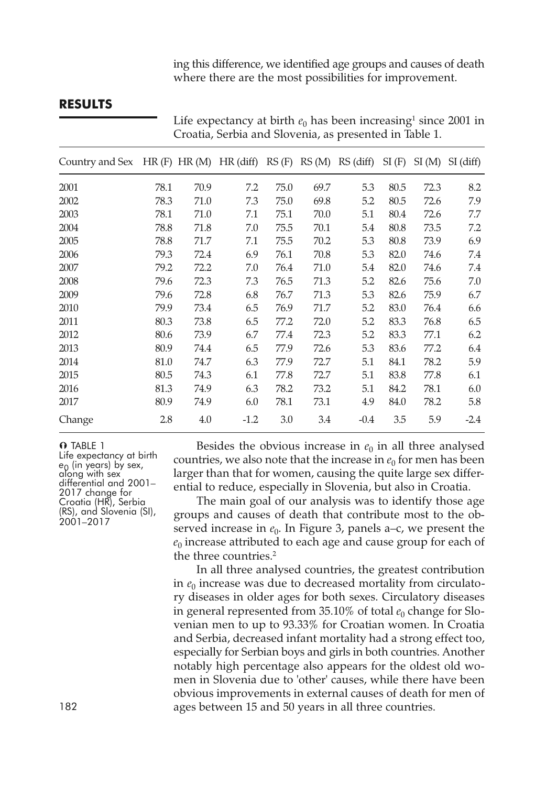ing this difference, we identified age groups and causes of death where there are the most possibilities for improvement.

### **RESULTS**

Croatia, Serbia and Slovenia, as presented in Table 1. Country and Sex  $HR(F) HR(M) HR(\text{diff}) RS(F) RS(M) RS(\text{diff}) SI(F) SI(M) SI(\text{diff})$  78.1 70.9 7.2 75.0 69.7 5.3 80.5 72.3 8.2 78.3 71.0 7.3 75.0 69.8 5.2 80.5 72.6 7.9 78.1 71.0 7.1 75.1 70.0 5.1 80.4 72.6 7.7 78.8 71.8 7.0 75.5 70.1 5.4 80.8 73.5 7.2 78.8 71.7 7.1 75.5 70.2 5.3 80.8 73.9 6.9 79.3 72.4 6.9 76.1 70.8 5.3 82.0 74.6 7.4 79.2 72.2 7.0 76.4 71.0 5.4 82.0 74.6 7.4 79.6 72.3 7.3 76.5 71.3 5.2 82.6 75.6 7.0 79.6 72.8 6.8 76.7 71.3 5.3 82.6 75.9 6.7 79.9 73.4 6.5 76.9 71.7 5.2 83.0 76.4 6.6 80.3 73.8 6.5 77.2 72.0 5.2 83.3 76.8 6.5 80.6 73.9 6.7 77.4 72.3 5.2 83.3 77.1 6.2 80.9 74.4 6.5 77.9 72.6 5.3 83.6 77.2 6.4 81.0 74.7 6.3 77.9 72.7 5.1 84.1 78.2 5.9 80.5 74.3 6.1 77.8 72.7 5.1 83.8 77.8 6.1 81.3 74.9 6.3 78.2 73.2 5.1 84.2 78.1 6.0 80.9 74.9 6.0 78.1 73.1 4.9 84.0 78.2 5.8 Change 2.8 4.0 -1.2 3.0 3.4 -0.4 3.5 5.9 -2.4

Life expectancy at birth  $e_0$  has been increasing<sup>1</sup> since 2001 in

**O** TABLE 1<br>Life expectancy at birth e<sub>0</sub> (in years) by sex,<br>diong with sex<br>differential and 2001–<br>2017 change for<br>Croatia (HR), Serbia<br>(RS), and Slovenia (SI), 2001–2017

Besides the obvious increase in  $e_0$  in all three analysed countries, we also note that the increase in  $e_0$  for men has been larger than that for women, causing the quite large sex differential to reduce, especially in Slovenia, but also in Croatia.

The main goal of our analysis was to identify those age groups and causes of death that contribute most to the observed increase in  $e_0$ . In Figure 3, panels a–c, we present the  $e_0$  increase attributed to each age and cause group for each of the three countries. 2

In all three analysed countries, the greatest contribution in  $e_0$  increase was due to decreased mortality from circulatory diseases in older ages for both sexes. Circulatory diseases in general represented from  $35.10\%$  of total  $e_0$  change for Slovenian men to up to 93.33% for Croatian women. In Croatia and Serbia, decreased infant mortality had a strong effect too, especially for Serbian boys and girls in both countries. Another notably high percentage also appears for the oldest old women in Slovenia due to 'other' causes, while there have been obvious improvements in external causes of death for men of 182 ages between 15 and 50 years in all three countries.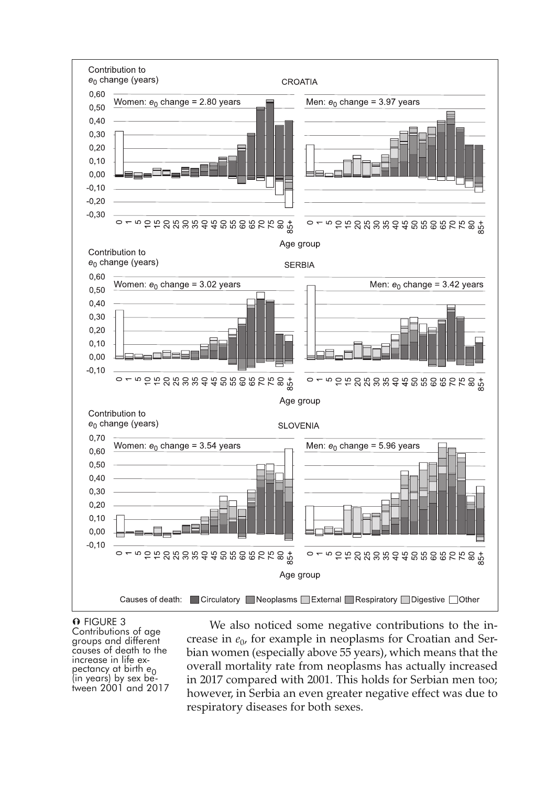

**O** FIGURE 3<br>Contributions of age groups and different<br>causes of death to the<br>increase in life ex-<br>pectancy at birth *e*<sub>0</sub><br>(in years) by sex between 2001 and 2017

We also noticed some negative contributions to the increase in  $e_0$ , for example in neoplasms for Croatian and Serbian women (especially above 55 years), which means that the overall mortality rate from neoplasms has actually increased in 2017 compared with 2001. This holds for Serbian men too; however, in Serbia an even greater negative effect was due to respiratory diseases for both sexes.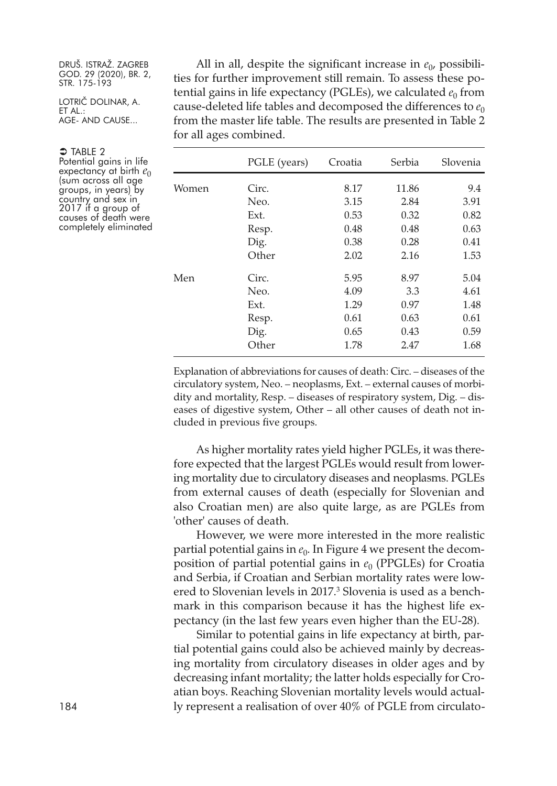LOTRIČ DOLINAR, A. ET AL.: AGE- AND CAUSE...

 $\supset$  Table 2

Potential gains in life expectancy at birth  $e_0$  (sum across all age groups, in years) by country and sex in 2017 if a group of causes of death were completely eliminated

All in all, despite the significant increase in  $e_0$ , possibilities for further improvement still remain. To assess these potential gains in life expectancy (PGLEs), we calculated  $e_0$  from cause-deleted life tables and decomposed the differences to  $e_0$ from the master life table. The results are presented in Table 2 for all ages combined.

|       | PGLE (years) | Croatia | Serbia | Slovenia |
|-------|--------------|---------|--------|----------|
| Women | Circ.        | 8.17    | 11.86  | 9.4      |
|       | Neo.         | 3.15    | 2.84   | 3.91     |
|       | Ext.         | 0.53    | 0.32   | 0.82     |
|       | Resp.        | 0.48    | 0.48   | 0.63     |
|       | Dig.         | 0.38    | 0.28   | 0.41     |
|       | Other        | 2.02    | 2.16   | 1.53     |
| Men   | Circ.        | 5.95    | 8.97   | 5.04     |
|       | Neo.         | 4.09    | 3.3    | 4.61     |
|       | Ext.         | 1.29    | 0.97   | 1.48     |
|       | Resp.        | 0.61    | 0.63   | 0.61     |
|       | Dig.         | 0.65    | 0.43   | 0.59     |
|       | Other        | 1.78    | 2.47   | 1.68     |

Explanation of abbreviations for causes of death: Circ. – diseases of the circulatory system, Neo. – neoplasms, Ext. – external causes of morbidity and mortality, Resp. – diseases of respiratory system, Dig. – diseases of digestive system, Other – all other causes of death not included in previous five groups.

As higher mortality rates yield higher PGLEs, it was therefore expected that the largest PGLEs would result from lowering mortality due to circulatory diseases and neoplasms. PGLEs from external causes of death (especially for Slovenian and also Croatian men) are also quite large, as are PGLEs from 'other' causes of death.

However, we were more interested in the more realistic partial potential gains in  $e_0$ . In Figure 4 we present the decomposition of partial potential gains in  $e_0$  (PPGLEs) for Croatia and Serbia, if Croatian and Serbian mortality rates were lowered to Slovenian levels in 2017. <sup>3</sup> Slovenia is used as a benchmark in this comparison because it has the highest life expectancy (in the last few years even higher than the EU-28).

Similar to potential gains in life expectancy at birth, partial potential gains could also be achieved mainly by decreasing mortality from circulatory diseases in older ages and by decreasing infant mortality; the latter holds especially for Croatian boys. Reaching Slovenian mortality levels would actual-184 ly represent a realisation of over 40% of PGLE from circulato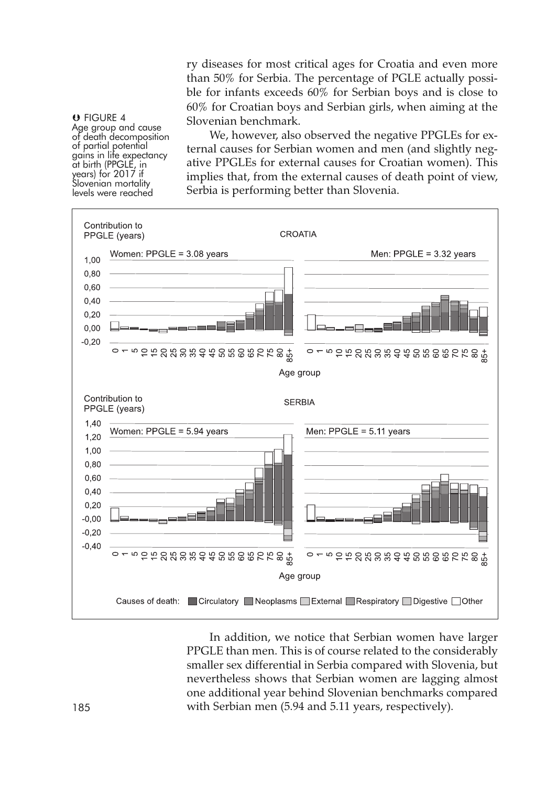ry diseases for most critical ages for Croatia and even more than 50% for Serbia. The percentage of PGLE actually possible for infants exceeds 60% for Serbian boys and is close to 60% for Croatian boys and Serbian girls, when aiming at the Slovenian benchmark.

**U** FIGURE 4<br>Age group and cause of death decomposition<br>of partial potential<br>gains in life expectancy gains in life expectancy<br>at birth (PPGLE, in<br>years) for 2017 if Slovenian mortality levels were reached

We, however, also observed the negative PPGLEs for external causes for Serbian women and men (and slightly negative PPGLEs for external causes for Croatian women). This implies that, from the external causes of death point of view, Serbia is performing better than Slovenia.



In addition, we notice that Serbian women have larger PPGLE than men. This is of course related to the considerably smaller sex differential in Serbia compared with Slovenia, but nevertheless shows that Serbian women are lagging almost one additional year behind Slovenian benchmarks compared 185 with Serbian men (5.94 and 5.11 years, respectively).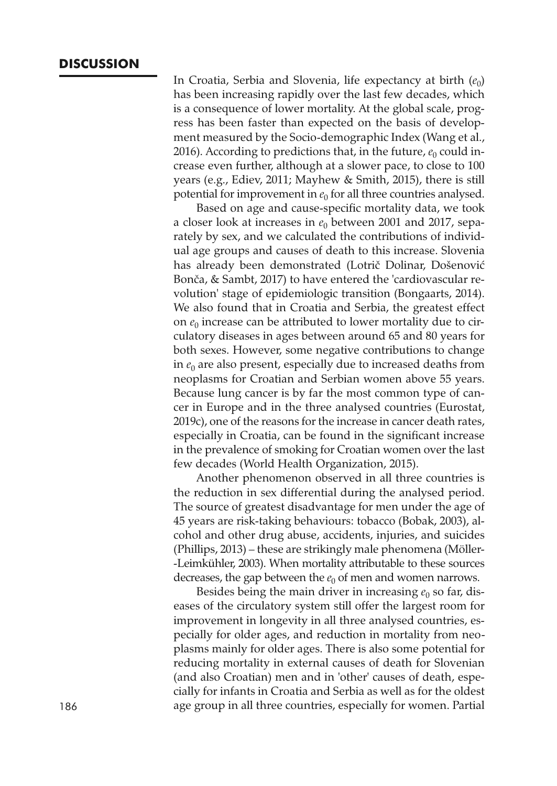### **DISCUSSION**

In Croatia, Serbia and Slovenia, life expectancy at birth  $(e_0)$ has been increasing rapidly over the last few decades, which is a consequence of lower mortality. At the global scale, progress has been faster than expected on the basis of development measured by the Socio-demographic Index (Wang et al., 2016). According to predictions that, in the future,  $e_0$  could increase even further, although at a slower pace, to close to 100 years (e.g., Ediev, 2011; Mayhew & Smith, 2015), there is still potential for improvement in  $e_0$  for all three countries analysed.

Based on age and cause-specific mortality data, we took a closer look at increases in  $e_0$  between 2001 and 2017, separately by sex, and we calculated the contributions of individual age groups and causes of death to this increase. Slovenia has already been demonstrated (Lotrič Dolinar, Došenović Bonča, & Sambt, 2017) to have entered the 'cardiovascular revolution' stage of epidemiologic transition (Bongaarts, 2014). We also found that in Croatia and Serbia, the greatest effect on  $e_0$  increase can be attributed to lower mortality due to circulatory diseases in ages between around 65 and 80 years for both sexes. However, some negative contributions to change in  $e_0$  are also present, especially due to increased deaths from neoplasms for Croatian and Serbian women above 55 years. Because lung cancer is by far the most common type of cancer in Europe and in the three analysed countries (Eurostat, 2019c), one of the reasons for the increase in cancer death rates, especially in Croatia, can be found in the significant increase in the prevalence of smoking for Croatian women over the last few decades (World Health Organization, 2015).

Another phenomenon observed in all three countries is the reduction in sex differential during the analysed period. The source of greatest disadvantage for men under the age of 45 years are risk-taking behaviours: tobacco (Bobak, 2003), alcohol and other drug abuse, accidents, injuries, and suicides (Phillips, 2013) – these are strikingly male phenomena (Möller- -Leimkühler, 2003). When mortality attributable to these sources decreases, the gap between the  $e_0$  of men and women narrows.

Besides being the main driver in increasing  $e_0$  so far, diseases of the circulatory system still offer the largest room for improvement in longevity in all three analysed countries, especially for older ages, and reduction in mortality from neoplasms mainly for older ages. There is also some potential for reducing mortality in external causes of death for Slovenian (and also Croatian) men and in 'other' causes of death, especially for infants in Croatia and Serbia as well as for the oldest 186 age group in all three countries, especially for women. Partial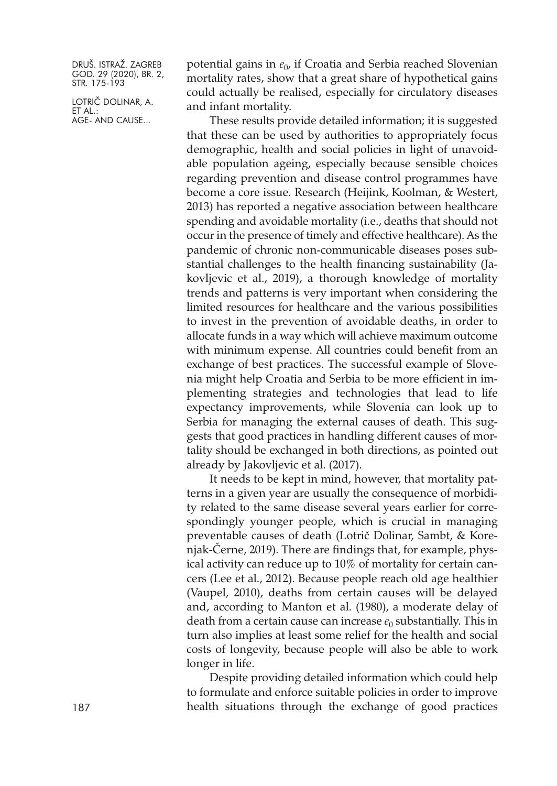LOTRIČ DOLINAR, A. ET AL.: AGE- AND CAUSE...

potential gains in  $e_0$ , if Croatia and Serbia reached Slovenian mortality rates, show that a great share of hypothetical gains could actually be realised, especially for circulatory diseases and infant mortality.

These results provide detailed information; it is suggested that these can be used by authorities to appropriately focus demographic, health and social policies in light of unavoidable population ageing, especially because sensible choices regarding prevention and disease control programmes have become a core issue. Research (Heijink, Koolman, & Westert, 2013) has reported a negative association between healthcare spending and avoidable mortality (i.e., deaths that should not occur in the presence of timely and effective healthcare). As the pandemic of chronic non-communicable diseases poses substantial challenges to the health financing sustainability (Jakovljevic et al., 2019), a thorough knowledge of mortality trends and patterns is very important when considering the limited resources for healthcare and the various possibilities to invest in the prevention of avoidable deaths, in order to allocate funds in a way which will achieve maximum outcome with minimum expense. All countries could benefit from an exchange of best practices. The successful example of Slovenia might help Croatia and Serbia to be more efficient in implementing strategies and technologies that lead to life expectancy improvements, while Slovenia can look up to Serbia for managing the external causes of death. This suggests that good practices in handling different causes of mortality should be exchanged in both directions, as pointed out already by Jakovljevic et al. (2017).

It needs to be kept in mind, however, that mortality patterns in a given year are usually the consequence of morbidity related to the same disease several years earlier for correspondingly younger people, which is crucial in managing preventable causes of death (Lotrič Dolinar, Sambt, & Korenjak-Černe, 2019). There are findings that, for example, physical activity can reduce up to 10% of mortality for certain cancers (Lee et al., 2012). Because people reach old age healthier (Vaupel, 2010), deaths from certain causes will be delayed and, according to Manton et al. (1980), a moderate delay of death from a certain cause can increase  $e_0$  substantially. This in turn also implies at least some relief for the health and social costs of longevity, because people will also be able to work longer in life.

Despite providing detailed information which could help to formulate and enforce suitable policies in order to improve 187 health situations through the exchange of good practices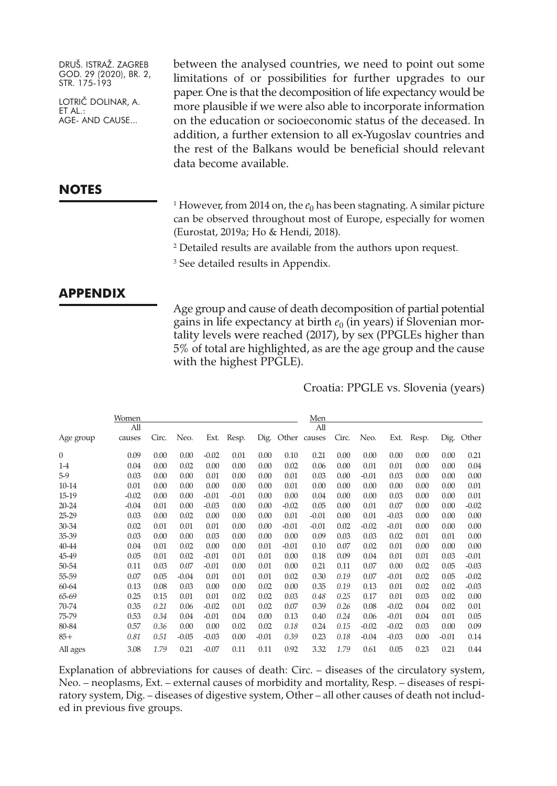LOTRIČ DOLINAR, A. ET AL.: AGE- AND CAUSE...

between the analysed countries, we need to point out some limitations of or possibilities for further upgrades to our paper. One is that the decomposition of life expectancy would be more plausible if we were also able to incorporate information on the education or socioeconomic status of the deceased. In addition, a further extension to all ex-Yugoslav countries and the rest of the Balkans would be beneficial should relevant data become available.

### **NOTES**

<sup>1</sup> However, from 2014 on, the  $e_0$  has been stagnating. A similar picture can be observed throughout most of Europe, especially for women (Eurostat, 2019a; Ho & Hendi, 2018).

<sup>2</sup> Detailed results are available from the authors upon request.

<sup>3</sup> See detailed results in Appendix.

### **APPENDIX**

Age group and cause of death decomposition of partial potential gains in life expectancy at birth  $e_0$  (in years) if Slovenian mortality levels were reached (2017), by sex (PPGLEs higher than 5% of total are highlighted, as are the age group and the cause with the highest PPGLE).

Croatia: PPGLE vs. Slovenia (years)

|           | Women   |       |         |         |         |         |         | Men          |       |         |         |       |         |         |
|-----------|---------|-------|---------|---------|---------|---------|---------|--------------|-------|---------|---------|-------|---------|---------|
|           | All     |       |         |         |         |         |         | All          |       |         |         |       |         |         |
| Age group | causes  | Circ. | Neo.    | Ext.    | Resp.   | Dig.    |         | Other causes | Circ. | Neo.    | Ext.    | Resp. | Dig.    | Other   |
| 0         | 0.09    | 0.00  | 0.00    | $-0.02$ | 0.01    | 0.00    | 0.10    | 0.21         | 0.00  | 0.00    | 0.00    | 0.00  | 0.00    | 0.21    |
| $1-4$     | 0.04    | 0.00  | 0.02    | 0.00    | 0.00    | 0.00    | 0.02    | 0.06         | 0.00  | 0.01    | 0.01    | 0.00  | 0.00    | 0.04    |
| $5-9$     | 0.03    | 0.00  | 0.00    | 0.01    | 0.00    | 0.00    | 0.01    | 0.03         | 0.00  | $-0.01$ | 0.03    | 0.00  | 0.00    | 0.00    |
| 10-14     | 0.01    | 0.00  | 0.00    | 0.00    | 0.00    | 0.00    | 0.01    | 0.00         | 0.00  | 0.00    | 0.00    | 0.00  | 0.00    | 0.01    |
| 15-19     | $-0.02$ | 0.00  | 0.00    | $-0.01$ | $-0.01$ | 0.00    | 0.00    | 0.04         | 0.00  | 0.00    | 0.03    | 0.00  | 0.00    | 0.01    |
| $20 - 24$ | $-0.04$ | 0.01  | 0.00    | $-0.03$ | 0.00    | 0.00    | $-0.02$ | 0.05         | 0.00  | 0.01    | 0.07    | 0.00  | 0.00    | $-0.02$ |
| 25-29     | 0.03    | 0.00  | 0.02    | 0.00    | 0.00    | 0.00    | 0.01    | $-0.01$      | 0.00  | 0.01    | $-0.03$ | 0.00  | 0.00    | 0.00    |
| 30-34     | 0.02    | 0.01  | 0.01    | 0.01    | 0.00    | 0.00    | $-0.01$ | $-0.01$      | 0.02  | $-0.02$ | $-0.01$ | 0.00  | 0.00    | 0.00    |
| 35-39     | 0.03    | 0.00  | 0.00    | 0.03    | 0.00    | 0.00    | 0.00    | 0.09         | 0.03  | 0.03    | 0.02    | 0.01  | 0.01    | 0.00    |
| 40-44     | 0.04    | 0.01  | 0.02    | 0.00    | 0.00    | 0.01    | $-0.01$ | 0.10         | 0.07  | 0.02    | 0.01    | 0.00  | 0.00    | 0.00    |
| 45-49     | 0.05    | 0.01  | 0.02    | $-0.01$ | 0.01    | 0.01    | 0.00    | 0.18         | 0.09  | 0.04    | 0.01    | 0.01  | 0.03    | $-0.01$ |
| 50-54     | 0.11    | 0.03  | 0.07    | $-0.01$ | 0.00    | 0.01    | 0.00    | 0.21         | 0.11  | 0.07    | 0.00    | 0.02  | 0.05    | $-0.03$ |
| 55-59     | 0.07    | 0.05  | $-0.04$ | 0.01    | 0.01    | 0.01    | 0.02    | 0.30         | 0.19  | 0.07    | $-0.01$ | 0.02  | 0.05    | $-0.02$ |
| 60-64     | 0.13    | 0.08  | 0.03    | 0.00    | 0.00    | 0.02    | 0.00    | 0.35         | 0.19  | 0.13    | 0.01    | 0.02  | 0.02    | $-0.03$ |
| 65-69     | 0.25    | 0.15  | 0.01    | 0.01    | 0.02    | 0.02    | 0.03    | 0.48         | 0.25  | 0.17    | 0.01    | 0.03  | 0.02    | 0.00    |
| 70-74     | 0.35    | 0.21  | 0.06    | $-0.02$ | 0.01    | 0.02    | 0.07    | 0.39         | 0.26  | 0.08    | $-0.02$ | 0.04  | 0.02    | 0.01    |
| 75-79     | 0.53    | 0.34  | 0.04    | $-0.01$ | 0.04    | 0.00    | 0.13    | 0.40         | 0.24  | 0.06    | $-0.01$ | 0.04  | 0.01    | 0.05    |
| 80-84     | 0.57    | 0.36  | 0.00    | 0.00    | 0.02    | 0.02    | 0.18    | 0.24         | 0.15  | $-0.02$ | $-0.02$ | 0.03  | 0.00    | 0.09    |
| $85+$     | 0.81    | 0.51  | $-0.05$ | $-0.03$ | 0.00    | $-0.01$ | 0.39    | 0.23         | 0.18  | $-0.04$ | $-0.03$ | 0.00  | $-0.01$ | 0.14    |
| All ages  | 3.08    | 1.79  | 0.21    | $-0.07$ | 0.11    | 0.11    | 0.92    | 3.32         | 1.79  | 0.61    | 0.05    | 0.23  | 0.21    | 0.44    |

Explanation of abbreviations for causes of death: Circ. – diseases of the circulatory system, Neo. – neoplasms, Ext. – external causes of morbidity and mortality, Resp. – diseases of respiratory system, Dig. – diseases of digestive system, Other – all other causes of death not included in previous five groups.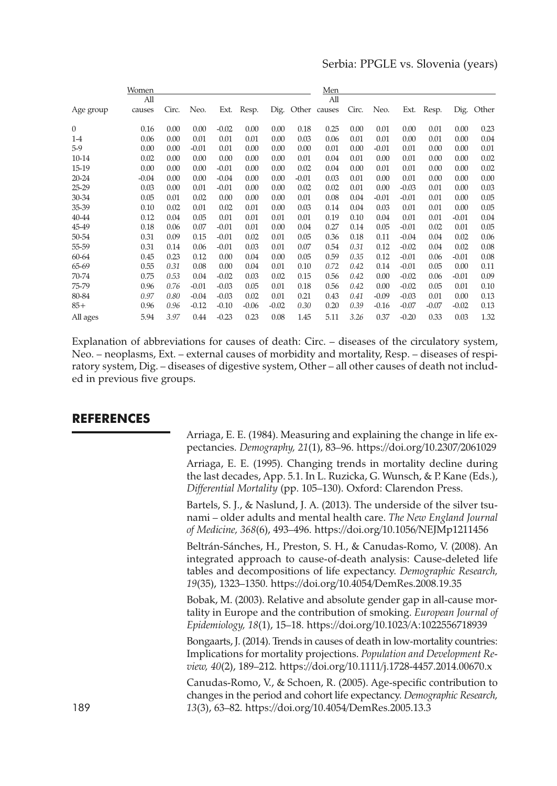### Serbia: PPGLE vs. Slovenia (years)

|              | Women   |       |         |         |         |         |         | Men          |       |         |         |         |         |            |
|--------------|---------|-------|---------|---------|---------|---------|---------|--------------|-------|---------|---------|---------|---------|------------|
|              | All     |       |         |         |         |         |         | All          |       |         |         |         |         |            |
| Age group    | causes  | Circ. | Neo.    | Ext.    | Resp.   | Dig.    |         | Other causes | Circ. | Neo.    | Ext.    | Resp.   |         | Dig. Other |
| $\mathbf{0}$ | 0.16    | 0.00  | 0.00    | $-0.02$ | 0.00    | 0.00    | 0.18    | 0.25         | 0.00  | 0.01    | 0.00    | 0.01    | 0.00    | 0.23       |
| $1-4$        | 0.06    | 0.00  | 0.01    | 0.01    | 0.01    | 0.00    | 0.03    | 0.06         | 0.01  | 0.01    | 0.00    | 0.01    | 0.00    | 0.04       |
| $5-9$        | 0.00    | 0.00  | $-0.01$ | 0.01    | 0.00    | 0.00    | 0.00    | 0.01         | 0.00  | $-0.01$ | 0.01    | 0.00    | 0.00    | 0.01       |
| 10-14        | 0.02    | 0.00  | 0.00    | 0.00    | 0.00    | 0.00    | 0.01    | 0.04         | 0.01  | 0.00    | 0.01    | 0.00    | 0.00    | 0.02       |
| 15-19        | 0.00    | 0.00  | 0.00    | $-0.01$ | 0.00    | 0.00    | 0.02    | 0.04         | 0.00  | 0.01    | 0.01    | 0.00    | 0.00    | 0.02       |
| $20 - 24$    | $-0.04$ | 0.00  | 0.00    | $-0.04$ | 0.00    | 0.00    | $-0.01$ | 0.03         | 0.01  | 0.00    | 0.01    | 0.00    | 0.00    | 0.00       |
| 25-29        | 0.03    | 0.00  | 0.01    | $-0.01$ | 0.00    | 0.00    | 0.02    | 0.02         | 0.01  | 0.00    | $-0.03$ | 0.01    | 0.00    | 0.03       |
| 30-34        | 0.05    | 0.01  | 0.02    | 0.00    | 0.00    | 0.00    | 0.01    | 0.08         | 0.04  | $-0.01$ | $-0.01$ | 0.01    | 0.00    | 0.05       |
| 35-39        | 0.10    | 0.02  | 0.01    | 0.02    | 0.01    | 0.00    | 0.03    | 0.14         | 0.04  | 0.03    | 0.01    | 0.01    | 0.00    | 0.05       |
| 40-44        | 0.12    | 0.04  | 0.05    | 0.01    | 0.01    | 0.01    | 0.01    | 0.19         | 0.10  | 0.04    | 0.01    | 0.01    | $-0.01$ | 0.04       |
| 45-49        | 0.18    | 0.06  | 0.07    | $-0.01$ | 0.01    | 0.00    | 0.04    | 0.27         | 0.14  | 0.05    | $-0.01$ | 0.02    | 0.01    | 0.05       |
| 50-54        | 0.31    | 0.09  | 0.15    | $-0.01$ | 0.02    | 0.01    | 0.05    | 0.36         | 0.18  | 0.11    | $-0.04$ | 0.04    | 0.02    | 0.06       |
| 55-59        | 0.31    | 0.14  | 0.06    | $-0.01$ | 0.03    | 0.01    | 0.07    | 0.54         | 0.31  | 0.12    | $-0.02$ | 0.04    | 0.02    | 0.08       |
| 60-64        | 0.45    | 0.23  | 0.12    | 0.00    | 0.04    | 0.00    | 0.05    | 0.59         | 0.35  | 0.12    | $-0.01$ | 0.06    | $-0.01$ | 0.08       |
| 65-69        | 0.55    | 0.31  | 0.08    | 0.00    | 0.04    | 0.01    | 0.10    | 0.72         | 0.42  | 0.14    | $-0.01$ | 0.05    | 0.00    | 0.11       |
| 70-74        | 0.75    | 0.53  | 0.04    | $-0.02$ | 0.03    | 0.02    | 0.15    | 0.56         | 0.42  | 0.00    | $-0.02$ | 0.06    | $-0.01$ | 0.09       |
| 75-79        | 0.96    | 0.76  | $-0.01$ | $-0.03$ | 0.05    | 0.01    | 0.18    | 0.56         | 0.42  | 0.00    | $-0.02$ | 0.05    | 0.01    | 0.10       |
| 80-84        | 0.97    | 0.80  | $-0.04$ | $-0.03$ | 0.02    | 0.01    | 0.21    | 0.43         | 0.41  | $-0.09$ | $-0.03$ | 0.01    | 0.00    | 0.13       |
| $85+$        | 0.96    | 0.96  | $-0.12$ | $-0.10$ | $-0.06$ | $-0.02$ | 0.30    | 0.20         | 0.39  | $-0.16$ | $-0.07$ | $-0.07$ | $-0.02$ | 0.13       |
| All ages     | 5.94    | 3.97  | 0.44    | $-0.23$ | 0.23    | 0.08    | 1.45    | 5.11         | 3.26  | 0.37    | $-0.20$ | 0.33    | 0.03    | 1.32       |

Explanation of abbreviations for causes of death: Circ. – diseases of the circulatory system, Neo. – neoplasms, Ext. – external causes of morbidity and mortality, Resp. – diseases of respiratory system, Dig. – diseases of digestive system, Other – all other causes of death not included in previous five groups.

### **REFERENCES**

Arriaga, E. E. (1984). Measuring and explaining the change in life expectancies. *Demography, 21*(1), 83–96. <https://doi.org/10.2307/2061029>

Arriaga, E. E. (1995). Changing trends in mortality decline during the last decades, App. 5.1. In L. Ruzicka, G. Wunsch, & P. Kane (Eds.), *Differential Mortality* (pp. 105–130). Oxford: Clarendon Press.

Bartels, S. J., & Naslund, J. A. (2013). The underside of the silver tsunami – older adults and mental health care. *The New England Journal of Medicine, 368*(6), 493–496. <https://doi.org/10.1056/NEJMp1211456>

Beltrán-Sánches, H., Preston, S. H., & Canudas-Romo, V. (2008). An integrated approach to cause-of-death analysis: Cause-deleted life tables and decompositions of life expectancy. *Demographic Research, 19*(35), 1323–1350. <https://doi.org/10.4054/DemRes.2008.19.35>

Bobak, M. (2003). Relative and absolute gender gap in all-cause mortality in Europe and the contribution of smoking. *European Journal of Epidemiology, 18*(1), 15–18. <https://doi.org/10.1023/A:1022556718939>

Bongaarts, J. (2014). Trends in causes of death in low-mortality countries: Implications for mortality projections. *Population and Development Review, 40*(2), 189–212. <https://doi.org/10.1111/j.1728-4457.2014.00670.x>

Canudas-Romo, V., & Schoen, R. (2005). Age-specific contribution to changes in the period and cohort life expectancy. *Demographic Research,* 189 *13*(3), 63–82. <https://doi.org/10.4054/DemRes.2005.13.3>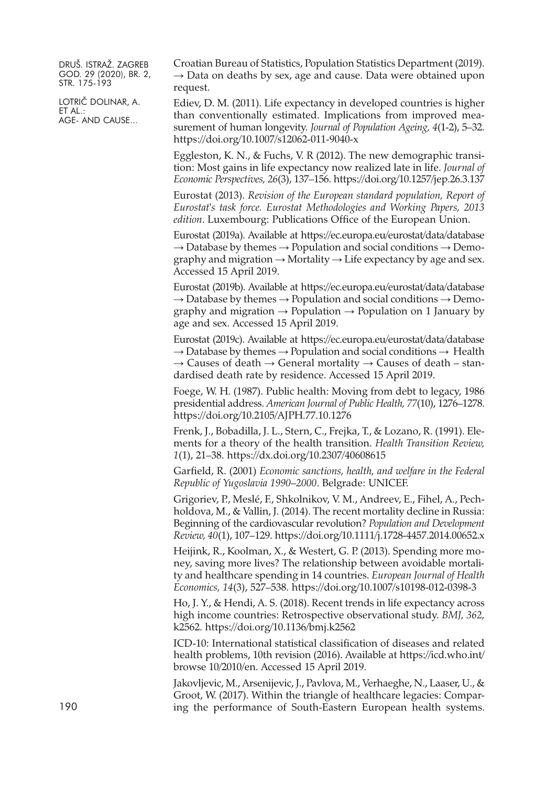LOTRIČ DOLINAR, A. ET AL.: AGE- AND CAUSE...

Croatian Bureau of Statistics, Population Statistics Department (2019).  $\rightarrow$  Data on deaths by sex, age and cause. Data were obtained upon request.

Ediev, D. M. (2011). Life expectancy in developed countries is higher than conventionally estimated. Implications from improved measurement of human longevity. *Journal of Population Ageing, 4*(1-2), 5–32. <https://doi.org/10.1007/s12062-011-9040-x>

Eggleston, K. N., & Fuchs, V. R (2012). The new demographic transition: Most gains in life expectancy now realized late in life. *Journal of Economic Perspectives, 26*(3), 137–156. <https://doi.org/10.1257/jep.26.3.137>

Eurostat (2013). *Revision of the European standard population, Report of Eurostat's task force. Eurostat Methodologies and Working Papers, 2013 edition*. Luxembourg: Publications Office of the European Union.

Eurostat (2019a). Available at <https://ec.europa.eu/eurostat/data/database>  $\rightarrow$  Database by themes  $\rightarrow$  Population and social conditions  $\rightarrow$  Demography and migration  $\rightarrow$  Mortality  $\rightarrow$  Life expectancy by age and sex. Accessed 15 April 2019.

Eurostat (2019b). Available at <https://ec.europa.eu/eurostat/data/database>  $\rightarrow$  Database by themes  $\rightarrow$  Population and social conditions  $\rightarrow$  Demography and migration  $\rightarrow$  Population  $\rightarrow$  Population on 1 January by age and sex. Accessed 15 April 2019.

Eurostat (2019c). Available at <https://ec.europa.eu/eurostat/data/database>  $\rightarrow$  Database by themes  $\rightarrow$  Population and social conditions  $\rightarrow$  Health  $\rightarrow$  Causes of death  $\rightarrow$  General mortality  $\rightarrow$  Causes of death – standardised death rate by residence. Accessed 15 April 2019.

Foege, W. H. (1987). Public health: Moving from debt to legacy, 1986 presidential address. *American Journal of Public Health, 77*(10), 1276–1278. <https://doi.org/10.2105/AJPH.77.10.1276>

Frenk, J., Bobadilla, J. L., Stern, C., Frejka, T., & Lozano, R. (1991). Elements for a theory of the health transition. *Health Transition Review, 1*(1), 21–38. <https://dx.doi.org/10.2307/40608615>

Garfield, R. (2001) *Economic sanctions, health, and welfare in the Federal Republic of Yugoslavia 1990–2000*. Belgrade: UNICEF.

Grigoriev, P., Meslé, F., Shkolnikov, V. M., Andreev, E., Fihel, A., Pechholdova, M., & Vallin, J. (2014). The recent mortality decline in Russia: Beginning of the cardiovascular revolution? *Population and Development Review, 40*(1), 107–129. <https://doi.org/10.1111/j.1728-4457.2014.00652.x>

Heijink, R., Koolman, X., & Westert, G. P. (2013). Spending more money, saving more lives? The relationship between avoidable mortality and healthcare spending in 14 countries. *European Journal of Health Economics, 14*(3), 527–538. <https://doi.org/10.1007/s10198-012-0398-3>

Ho, J. Y., & Hendi, A. S. (2018). Recent trends in life expectancy across high income countries: Retrospective observational study. *BMJ, 362,* k2562. <https://doi.org/10.1136/bmj.k2562>

ICD-10: International statistical classification of diseases and related health problems, 10th revision (2016). Available at [https://icd.who.int/](https://icd.who.int/browse10/2010/en) browse [10/2010/en.](https://icd.who.int/browse10/2010/en) Accessed 15 April 2019.

Jakovljevic, M., Arsenijevic, J., Pavlova, M., Verhaeghe, N., Laaser, U., & Groot, W. (2017). Within the triangle of healthcare legacies: Compar-190 ing the performance of South-Eastern European health systems.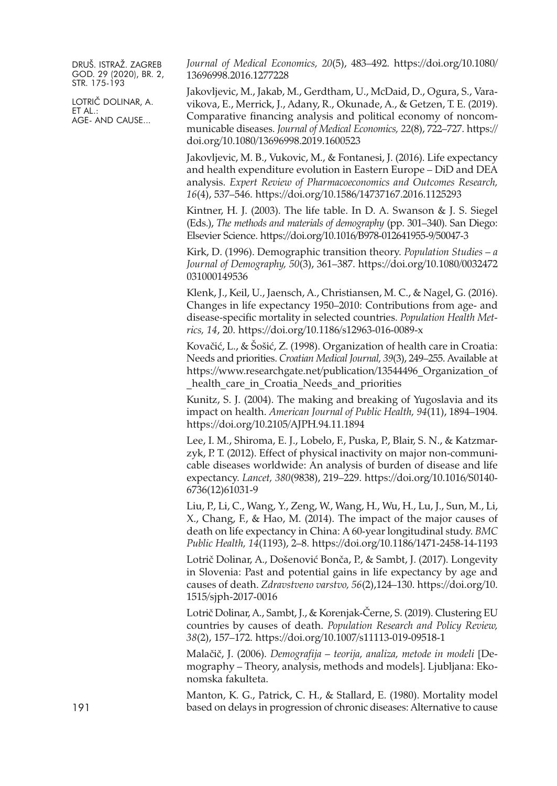LOTRIČ DOLINAR, A. ET AL.: AGE- AND CAUSE...

*Journal of Medical Economics, 20*(5), 483–492. [https://doi.org/10.1080/](https://doi.org/10.1080/13696998.2016.1277228) [13696998.2016.1277228](https://doi.org/10.1080/13696998.2016.1277228)

Jakovljevic, M., Jakab, M., Gerdtham, U., McDaid, D., Ogura, S., Varavikova, E., Merrick, J., Adany, R., Okunade, A., & Getzen, T. E. (2019). Comparative financing analysis and political economy of noncommunicable diseases. *Journal of Medical Economics, 22*(8), 722–727. [https://](https://doi.org/10.1080/13696998.2019.1600523) [doi.org/10.1080/13696998.2019.1600523](https://doi.org/10.1080/13696998.2019.1600523)

Jakovljevic, M. B., Vukovic, M., & Fontanesi, J. (2016). Life expectancy and health expenditure evolution in Eastern Europe – DiD and DEA analysis. *Expert Review of Pharmacoeconomics and Outcomes Research, 16*(4), 537–546. <https://doi.org/10.1586/14737167.2016.1125293>

Kintner, H. J. (2003). The life table. In D. A. Swanson & J. S. Siegel (Eds.), *The methods and materials of demography* (pp. 301–340). San Diego: Elsevier Science. <https://doi.org/10.1016/B978-012641955-9/50047-3>

Kirk, D. (1996). Demographic transition theory. *Population Studies – a Journal of Demography, 50*(3), 361–387. [https://doi.org/10.1080/0032472](https://doi.org/10.1080/0032472031000149536) [031000149536](https://doi.org/10.1080/0032472031000149536)

Klenk, J., Keil, U., Jaensch, A., Christiansen, M. C., & Nagel, G. (2016). Changes in life expectancy 1950–2010: Contributions from age- and disease-specific mortality in selected countries. *Population Health Metrics, 14*, 20. <https://doi.org/10.1186/s12963-016-0089-x>

Kovačić, L., & Šošić, Z. (1998). Organization of health care in Croatia: Needs and priorities. *Croatian Medical Journal, 39*(3), 249–255. Available at [https://www.researchgate.net/publication/13544496\\_Organization\\_of](https://www.researchgate.net/publication/13544496_Organization_of_health_care_in_Croatia_Needs_and_priorities) health care in Croatia Needs and priorities

Kunitz, S. J. (2004). The making and breaking of Yugoslavia and its impact on health. *American Journal of Public Health, 94*(11), 1894–1904. <https://doi.org/10.2105/AJPH.94.11.1894>

Lee, I. M., Shiroma, E. J., Lobelo, F., Puska, P., Blair, S. N., & Katzmarzyk, P. T. (2012). Effect of physical inactivity on major non-communicable diseases worldwide: An analysis of burden of disease and life expectancy. *Lancet, 380*(9838), 219–229. [https://doi.org/10.1016/S0140-](https://doi.org/10.1016/S0140-6736(12)61031-9) [6736\(12\)61031-9](https://doi.org/10.1016/S0140-6736(12)61031-9)

Liu, P., Li, C., Wang, Y., Zeng, W., Wang, H., Wu, H., Lu, J., Sun, M., Li, X., Chang, F., & Hao, M. (2014). The impact of the major causes of death on life expectancy in China: A 60-year longitudinal study. *BMC Public Health, 14*(1193), 2–8. <https://doi.org/10.1186/1471-2458-14-1193>

Lotrič Dolinar, A., Došenović Bonča, P., & Sambt, J. (2017). Longevity in Slovenia: Past and potential gains in life expectancy by age and causes of death. *Zdravstveno varstvo, 56*(2),124–130. [https://doi.org/10.](https://doi.org/10.1515/sjph-2017-0016) [1515/sjph-2017-0016](https://doi.org/10.1515/sjph-2017-0016)

Lotrič Dolinar, A., Sambt, J., & Korenjak-Černe, S. (2019). Clustering EU countries by causes of death. *Population Research and Policy Review, 38*(2), 157–172. <https://doi.org/10.1007/s11113-019-09518-1>

Malačič, J. (2006). *Demografija – teorija, analiza, metode in modeli* [Demography – Theory, analysis, methods and models]. Ljubljana: Ekonomska fakulteta.

Manton, K. G., Patrick, C. H., & Stallard, E. (1980). Mortality model 191 based on delays in progression of chronic diseases: Alternative to cause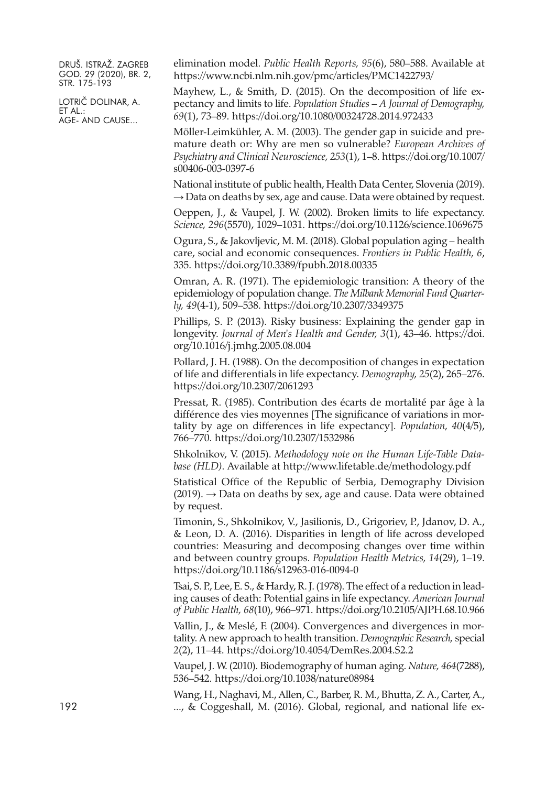LOTRIČ DOLINAR, A. ET AL.: AGE- AND CAUSE...

elimination model. *Public Health Reports, 95*(6), 580–588. Available at [https://www.ncbi.nlm.nih.gov/pmc/articles/PMC1422793/](https://www.ncbi.nlm.nih.gov/pmc/articles/PMC1422793)

Mayhew, L., & Smith, D. (2015). On the decomposition of life expectancy and limits to life. *Population Studies – A Journal of Demography, 69*(1), 73–89. <https://doi.org/10.1080/00324728.2014.972433>

Möller-Leimkühler, A. M. (2003). The gender gap in suicide and premature death or: Why are men so vulnerable? *European Archives of Psychiatry and Clinical Neuroscience, 253*(1), 1–8. [https://doi.org/10.1007/](https://doi.org/10.1007/s00406-003-0397-6) [s00406-003-0397-6](https://doi.org/10.1007/s00406-003-0397-6)

National institute of public health, Health Data Center, Slovenia (2019).  $\rightarrow$  Data on deaths by sex, age and cause. Data were obtained by request.

Oeppen, J., & Vaupel, J. W. (2002). Broken limits to life expectancy. *Science, 296*(5570), 1029–1031. <https://doi.org/10.1126/science.1069675>

Ogura, S., & Jakovljevic, M. M. (2018). Global population aging – health care, social and economic consequences. *Frontiers in Public Health, 6*, 335. <https://doi.org/10.3389/fpubh.2018.00335>

Omran, A. R. (1971). The epidemiologic transition: A theory of the epidemiology of population change. *The Milbank Memorial Fund Quarterly, 49*(4-1), 509–538. <https://doi.org/10.2307/3349375>

Phillips, S. P. (2013). Risky business: Explaining the gender gap in longevity. *Journal of Men's Health and Gender, 3*(1), 43–46. [https://doi.](https://doi.org/10.1016/j.jmhg.2005.08.004) [org/10.1016/j.jmhg.2005.08.004](https://doi.org/10.1016/j.jmhg.2005.08.004)

Pollard, J. H. (1988). On the decomposition of changes in expectation of life and differentials in life expectancy. *Demography, 25*(2), 265–276. <https://doi.org/10.2307/2061293>

Pressat, R. (1985). Contribution des écarts de mortalité par âge à la différence des vies moyennes [The significance of variations in mortality by age on differences in life expectancy]. *Population, 40*(4/5), 766–770. <https://doi.org/10.2307/1532986>

Shkolnikov, V. (2015). *Methodology note on the Human Life-Table Database (HLD)*. Available at <http://www.lifetable.de/methodology.pdf>

Statistical Office of the Republic of Serbia, Demography Division  $(2019)$ .  $\rightarrow$  Data on deaths by sex, age and cause. Data were obtained by request.

Timonin, S., Shkolnikov, V., Jasilionis, D., Grigoriev, P., Jdanov, D. A., & Leon, D. A. (2016). Disparities in length of life across developed countries: Measuring and decomposing changes over time within and between country groups. *Population Health Metrics, 14*(29), 1–19. <https://doi.org/10.1186/s12963-016-0094-0>

Tsai, S. P., Lee, E. S., & Hardy, R. J. (1978). The effect of a reduction in leading causes of death: Potential gains in life expectancy. *American Journal of Public Health, 68*(10), 966–971. <https://doi.org/10.2105/AJPH.68.10.966>

Vallin, J., & Meslé, F. (2004). Convergences and divergences in mortality. A new approach to health transition. *Demographic Research,* special *2*(2), 11–44. <https://doi.org/10.4054/DemRes.2004.S2.2>

Vaupel, J. W. (2010). Biodemography of human aging. *Nature, 464*(7288), 536–542. <https://doi.org/10.1038/nature08984>

Wang, H., Naghavi, M., Allen, C., Barber, R. M., Bhutta, Z. A., Carter, A., 192 ..., & Coggeshall, M. (2016). Global, regional, and national life ex-